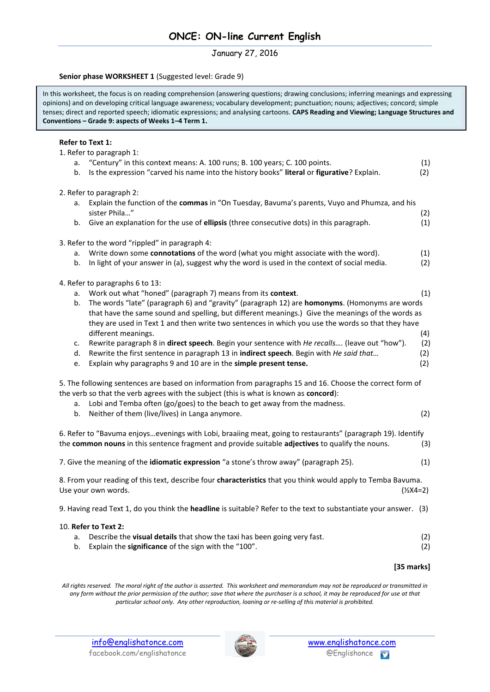# **ONCE: ON-line Current English**

January 27, 2016

### **Senior phase WORKSHEET 1** (Suggested level: Grade 9)

In this worksheet, the focus is on reading comprehension (answering questions; drawing conclusions; inferring meanings and expressing opinions) and on developing critical language awareness; vocabulary development; punctuation; nouns; adjectives; concord; simple tenses; direct and reported speech; idiomatic expressions; and analysing cartoons. **CAPS Reading and Viewing; Language Structures and Conventions – Grade 9: aspects of Weeks 1–4 Term 1.**

## **Refer to Text 1:**

1. Refer to paragraph 1:

| a.<br>b. | "Century" in this context means: A. 100 runs; B. 100 years; C. 100 points.<br>Is the expression "carved his name into the history books" literal or figurative? Explain. | (1)<br>(2) |
|----------|--------------------------------------------------------------------------------------------------------------------------------------------------------------------------|------------|
|          | 2. Refer to paragraph 2:                                                                                                                                                 |            |
| a.       | Explain the function of the commas in "On Tuesday, Bavuma's parents, Vuyo and Phumza, and his                                                                            |            |
|          | sister Phila"                                                                                                                                                            | (2)        |
| b.       | Give an explanation for the use of ellipsis (three consecutive dots) in this paragraph.                                                                                  | (1)        |
|          | 3. Refer to the word "rippled" in paragraph 4:                                                                                                                           |            |
| a.       | Write down some connotations of the word (what you might associate with the word).                                                                                       | (1)        |
| b.       | In light of your answer in (a), suggest why the word is used in the context of social media.                                                                             | (2)        |
|          | 4. Refer to paragraphs 6 to 13:                                                                                                                                          |            |
| а.       | Work out what "honed" (paragraph 7) means from its context.                                                                                                              | (1)        |
| b.       | The words "late" (paragraph 6) and "gravity" (paragraph 12) are homonyms. (Homonyms are words                                                                            |            |
|          | that have the same sound and spelling, but different meanings.) Give the meanings of the words as                                                                        |            |
|          | they are used in Text 1 and then write two sentences in which you use the words so that they have                                                                        |            |
|          | different meanings.                                                                                                                                                      | (4)        |
| c.       | Rewrite paragraph 8 in direct speech. Begin your sentence with He recalls (leave out "how").                                                                             | (2)        |
| d.       | Rewrite the first sentence in paragraph 13 in indirect speech. Begin with He said that                                                                                   | (2)        |
| e.       | Explain why paragraphs 9 and 10 are in the simple present tense.                                                                                                         | (2)        |
|          | 5. The following sentences are based on information from paragraphs 15 and 16. Choose the correct form of                                                                |            |
|          | the verb so that the verb agrees with the subject (this is what is known as concord):                                                                                    |            |
| a.       | Lobi and Temba often (go/goes) to the beach to get away from the madness.                                                                                                |            |
| b.       | Neither of them (live/lives) in Langa anymore.                                                                                                                           | (2)        |
|          |                                                                                                                                                                          |            |
|          | 6. Refer to "Bavuma enjoysevenings with Lobi, braaiing meat, going to restaurants" (paragraph 19). Identify                                                              |            |
|          | the common nouns in this sentence fragment and provide suitable adjectives to qualify the nouns.                                                                         | (3)        |
|          | 7. Give the meaning of the idiomatic expression "a stone's throw away" (paragraph 25).                                                                                   | (1)        |
|          | 8. From your reading of this text, describe four <b>characteristics</b> that you think would apply to Temba Bavuma.                                                      |            |
|          | Use your own words.<br>$(\frac{1}{2}X4=2)$                                                                                                                               |            |
|          | 9. Having read Text 1, do you think the <b>headline</b> is suitable? Refer to the text to substantiate your answer. (3)                                                  |            |
|          | 10. Refer to Text 2:                                                                                                                                                     |            |
| a.       | Describe the visual details that show the taxi has been going very fast.                                                                                                 | (2)        |
| b.       | Explain the significance of the sign with the "100".                                                                                                                     | (2)        |
|          |                                                                                                                                                                          |            |

### **[35 marks]**

*All rights reserved. The moral right of the author is asserted. This worksheet and memorandum may not be reproduced or transmitted in any form without the prior permission of the author; save that where the purchaser is a school, it may be reproduced for use at that particular school only. Any other reproduction, loaning or re-selling of this material is prohibited.*

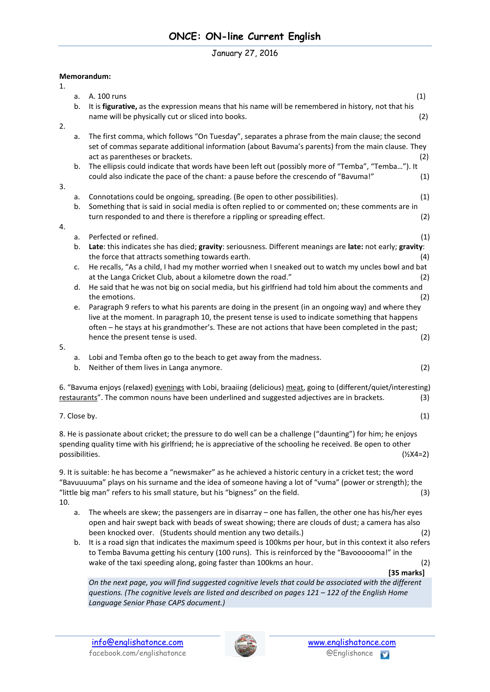# January 27, 2016

# **Memorandum:**

1.

|    | a.                                                                                                                                                                                                                                             | A. 100 runs                                                                                                                                                                                                                                                                                                   | (1)        |  |
|----|------------------------------------------------------------------------------------------------------------------------------------------------------------------------------------------------------------------------------------------------|---------------------------------------------------------------------------------------------------------------------------------------------------------------------------------------------------------------------------------------------------------------------------------------------------------------|------------|--|
| 2. | b.                                                                                                                                                                                                                                             | It is figurative, as the expression means that his name will be remembered in history, not that his<br>name will be physically cut or sliced into books.                                                                                                                                                      | (2)        |  |
|    | The first comma, which follows "On Tuesday", separates a phrase from the main clause; the second<br>a.<br>set of commas separate additional information (about Bavuma's parents) from the main clause. They<br>act as parentheses or brackets. |                                                                                                                                                                                                                                                                                                               |            |  |
|    | b.                                                                                                                                                                                                                                             | The ellipsis could indicate that words have been left out (possibly more of "Temba", "Temba"). It<br>could also indicate the pace of the chant: a pause before the crescendo of "Bavuma!"                                                                                                                     | (2)<br>(1) |  |
| 3. |                                                                                                                                                                                                                                                |                                                                                                                                                                                                                                                                                                               |            |  |
|    | a.<br>b.                                                                                                                                                                                                                                       | Connotations could be ongoing, spreading. (Be open to other possibilities).<br>Something that is said in social media is often replied to or commented on; these comments are in<br>turn responded to and there is therefore a rippling or spreading effect.                                                  | (1)<br>(2) |  |
| 4. |                                                                                                                                                                                                                                                |                                                                                                                                                                                                                                                                                                               |            |  |
|    | a.<br>b.                                                                                                                                                                                                                                       | Perfected or refined.<br>Late: this indicates she has died; gravity: seriousness. Different meanings are late: not early; gravity:<br>the force that attracts something towards earth.                                                                                                                        | (1)<br>(4) |  |
|    | c.                                                                                                                                                                                                                                             | He recalls, "As a child, I had my mother worried when I sneaked out to watch my uncles bowl and bat<br>at the Langa Cricket Club, about a kilometre down the road."                                                                                                                                           | (2)        |  |
|    | d.                                                                                                                                                                                                                                             | He said that he was not big on social media, but his girlfriend had told him about the comments and<br>the emotions.                                                                                                                                                                                          | (2)        |  |
|    | e.                                                                                                                                                                                                                                             | Paragraph 9 refers to what his parents are doing in the present (in an ongoing way) and where they<br>live at the moment. In paragraph 10, the present tense is used to indicate something that happens<br>often - he stays at his grandmother's. These are not actions that have been completed in the past; |            |  |
| 5. |                                                                                                                                                                                                                                                | hence the present tense is used.                                                                                                                                                                                                                                                                              | (2)        |  |
|    | a.                                                                                                                                                                                                                                             | Lobi and Temba often go to the beach to get away from the madness.                                                                                                                                                                                                                                            |            |  |
|    | b.                                                                                                                                                                                                                                             | Neither of them lives in Langa anymore.                                                                                                                                                                                                                                                                       | (2)        |  |
|    |                                                                                                                                                                                                                                                | 6. "Bavuma enjoys (relaxed) evenings with Lobi, braaiing (delicious) meat, going to (different/quiet/interesting)<br>restaurants". The common nouns have been underlined and suggested adjectives are in brackets.                                                                                            | (3)        |  |
|    | 7. Close by.                                                                                                                                                                                                                                   |                                                                                                                                                                                                                                                                                                               | (1)        |  |
|    |                                                                                                                                                                                                                                                | 8. He is passionate about cricket; the pressure to do well can be a challenge ("daunting") for him; he enjoys<br>spending quality time with his girlfriend; he is appreciative of the schooling he received. Be open to other<br>possibilities.<br>$(\frac{1}{2}X4=2)$                                        |            |  |
|    |                                                                                                                                                                                                                                                | 9. It is suitable: he has become a "newsmaker" as he achieved a historic century in a cricket test; the word<br>"Bavuuuuma" plays on his surname and the idea of someone having a lot of "vuma" (power or strength); the                                                                                      |            |  |

"little big man" refers to his small stature, but his "bigness" on the field. (3) 10. a. The wheels are skew; the passengers are in disarray – one has fallen, the other one has his/her eyes

- open and hair swept back with beads of sweat showing; there are clouds of dust; a camera has also been knocked over. (Students should mention any two details.) (2)
- b. It is a road sign that indicates the maximum speed is 100kms per hour, but in this context it also refers to Temba Bavuma getting his century (100 runs). This is reinforced by the "Bavoooooma!" in the wake of the taxi speeding along, going faster than 100kms an hour. (2)

**[35 marks]**

*On the next page, you will find suggested cognitive levels that could be associated with the different questions. (The cognitive levels are listed and described on pages 121 – 122 of the English Home Language Senior Phase CAPS document.)*